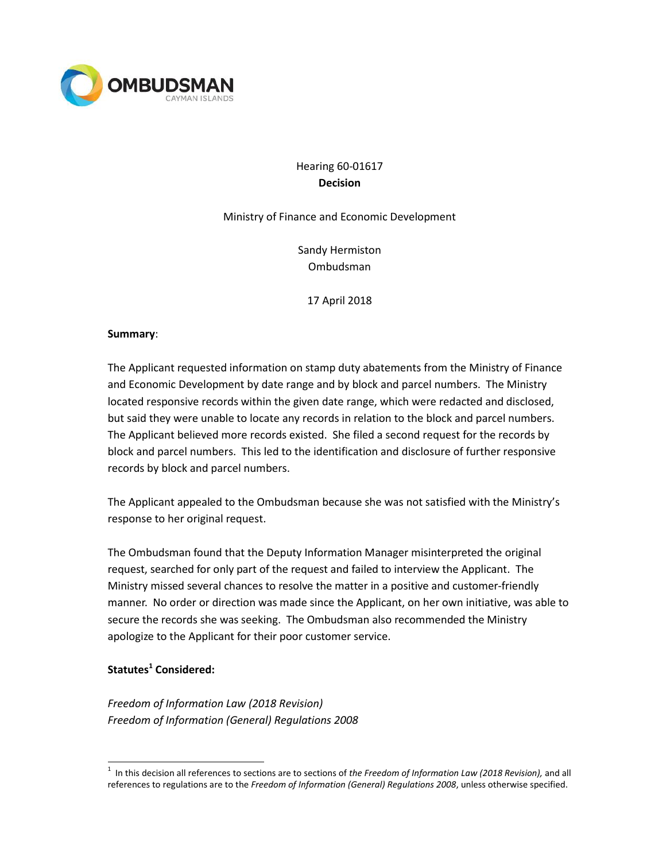

# Hearing 60-01617 **Decision**

#### Ministry of Finance and Economic Development

Sandy Hermiston Ombudsman

17 April 2018

### **Summary**:

The Applicant requested information on stamp duty abatements from the Ministry of Finance and Economic Development by date range and by block and parcel numbers. The Ministry located responsive records within the given date range, which were redacted and disclosed, but said they were unable to locate any records in relation to the block and parcel numbers. The Applicant believed more records existed. She filed a second request for the records by block and parcel numbers. This led to the identification and disclosure of further responsive records by block and parcel numbers.

The Applicant appealed to the Ombudsman because she was not satisfied with the Ministry's response to her original request.

The Ombudsman found that the Deputy Information Manager misinterpreted the original request, searched for only part of the request and failed to interview the Applicant. The Ministry missed several chances to resolve the matter in a positive and customer-friendly manner. No order or direction was made since the Applicant, on her own initiative, was able to secure the records she was seeking. The Ombudsman also recommended the Ministry apologize to the Applicant for their poor customer service.

### **Statutes<sup>1</sup> Considered:**

l

*Freedom of Information Law (2018 Revision) Freedom of Information (General) Regulations 2008*

<sup>1</sup> In this decision all references to sections are to sections of *the Freedom of Information Law (2018 Revision),* and all references to regulations are to the *Freedom of Information (General) Regulations 2008*, unless otherwise specified.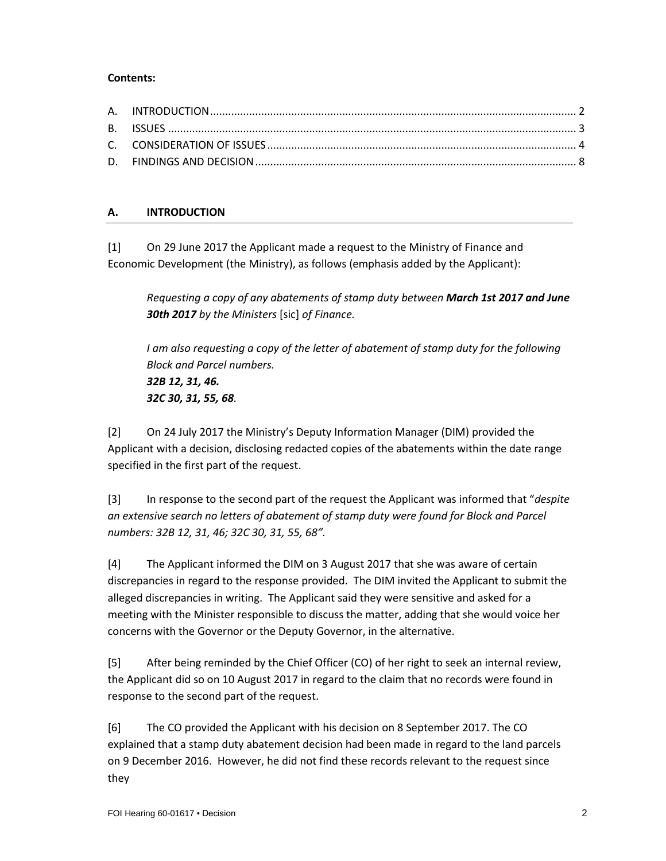### **Contents:**

### **A. INTRODUCTION**

[1] On 29 June 2017 the Applicant made a request to the Ministry of Finance and Economic Development (the Ministry), as follows (emphasis added by the Applicant):

*Requesting a copy of any abatements of stamp duty between March 1st 2017 and June 30th 2017 by the Ministers* [sic] *of Finance.*

*I am also requesting a copy of the letter of abatement of stamp duty for the following Block and Parcel numbers. 32B 12, 31, 46. 32C 30, 31, 55, 68.*

[2] On 24 July 2017 the Ministry's Deputy Information Manager (DIM) provided the Applicant with a decision, disclosing redacted copies of the abatements within the date range specified in the first part of the request.

[3] In response to the second part of the request the Applicant was informed that "*despite an extensive search no letters of abatement of stamp duty were found for Block and Parcel numbers: 32B 12, 31, 46; 32C 30, 31, 55, 68".*

[4] The Applicant informed the DIM on 3 August 2017 that she was aware of certain discrepancies in regard to the response provided. The DIM invited the Applicant to submit the alleged discrepancies in writing. The Applicant said they were sensitive and asked for a meeting with the Minister responsible to discuss the matter, adding that she would voice her concerns with the Governor or the Deputy Governor, in the alternative.

[5] After being reminded by the Chief Officer (CO) of her right to seek an internal review, the Applicant did so on 10 August 2017 in regard to the claim that no records were found in response to the second part of the request.

[6] The CO provided the Applicant with his decision on 8 September 2017. The CO explained that a stamp duty abatement decision had been made in regard to the land parcels on 9 December 2016. However, he did not find these records relevant to the request since they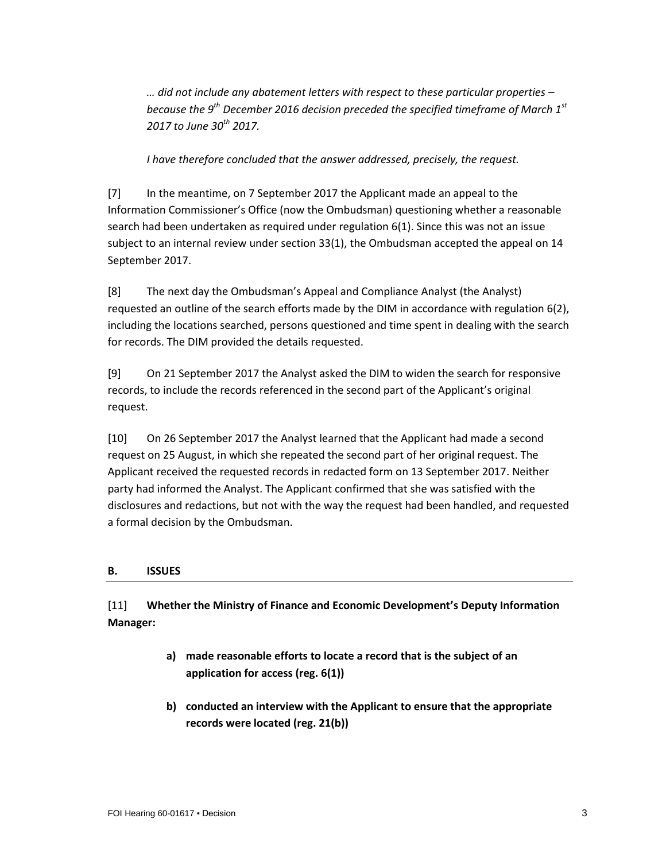*… did not include any abatement letters with respect to these particular properties – because the 9th December 2016 decision preceded the specified timeframe of March 1st 2017 to June 30th 2017.*

*I have therefore concluded that the answer addressed, precisely, the request.* 

[7] In the meantime, on 7 September 2017 the Applicant made an appeal to the Information Commissioner's Office (now the Ombudsman) questioning whether a reasonable search had been undertaken as required under regulation 6(1). Since this was not an issue subject to an internal review under section 33(1), the Ombudsman accepted the appeal on 14 September 2017.

[8] The next day the Ombudsman's Appeal and Compliance Analyst (the Analyst) requested an outline of the search efforts made by the DIM in accordance with regulation 6(2), including the locations searched, persons questioned and time spent in dealing with the search for records. The DIM provided the details requested.

[9] On 21 September 2017 the Analyst asked the DIM to widen the search for responsive records, to include the records referenced in the second part of the Applicant's original request.

[10] On 26 September 2017 the Analyst learned that the Applicant had made a second request on 25 August, in which she repeated the second part of her original request. The Applicant received the requested records in redacted form on 13 September 2017. Neither party had informed the Analyst. The Applicant confirmed that she was satisfied with the disclosures and redactions, but not with the way the request had been handled, and requested a formal decision by the Ombudsman.

### **B. ISSUES**

[11] **Whether the Ministry of Finance and Economic Development's Deputy Information Manager:**

- **a) made reasonable efforts to locate a record that is the subject of an application for access (reg. 6(1))**
- **b) conducted an interview with the Applicant to ensure that the appropriate records were located (reg. 21(b))**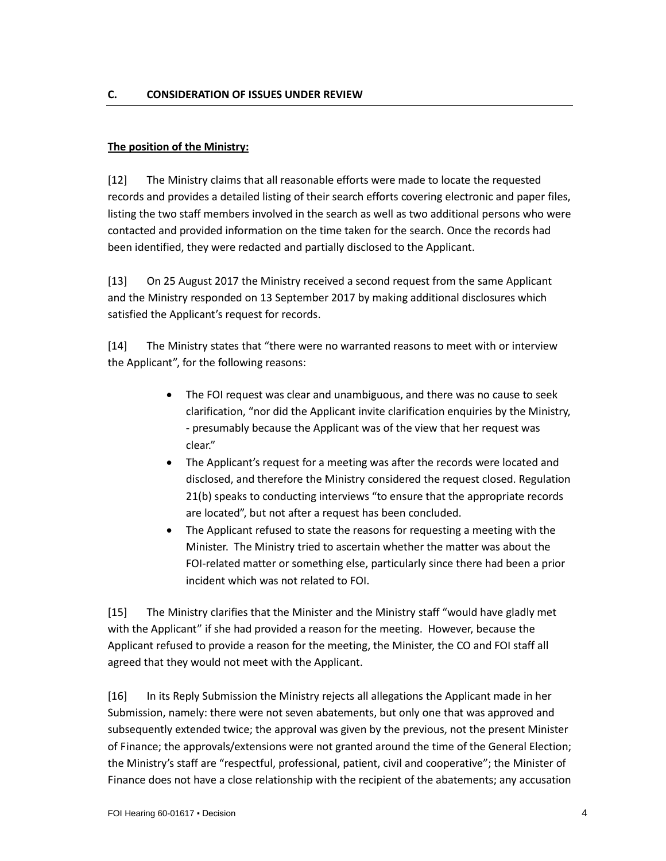## **The position of the Ministry:**

[12] The Ministry claims that all reasonable efforts were made to locate the requested records and provides a detailed listing of their search efforts covering electronic and paper files, listing the two staff members involved in the search as well as two additional persons who were contacted and provided information on the time taken for the search. Once the records had been identified, they were redacted and partially disclosed to the Applicant.

[13] On 25 August 2017 the Ministry received a second request from the same Applicant and the Ministry responded on 13 September 2017 by making additional disclosures which satisfied the Applicant's request for records.

[14] The Ministry states that "there were no warranted reasons to meet with or interview the Applicant", for the following reasons:

- The FOI request was clear and unambiguous, and there was no cause to seek clarification, "nor did the Applicant invite clarification enquiries by the Ministry, - presumably because the Applicant was of the view that her request was clear."
- The Applicant's request for a meeting was after the records were located and disclosed, and therefore the Ministry considered the request closed. Regulation 21(b) speaks to conducting interviews "to ensure that the appropriate records are located", but not after a request has been concluded.
- The Applicant refused to state the reasons for requesting a meeting with the Minister. The Ministry tried to ascertain whether the matter was about the FOI-related matter or something else, particularly since there had been a prior incident which was not related to FOI.

[15] The Ministry clarifies that the Minister and the Ministry staff "would have gladly met with the Applicant" if she had provided a reason for the meeting. However, because the Applicant refused to provide a reason for the meeting, the Minister, the CO and FOI staff all agreed that they would not meet with the Applicant.

[16] In its Reply Submission the Ministry rejects all allegations the Applicant made in her Submission, namely: there were not seven abatements, but only one that was approved and subsequently extended twice; the approval was given by the previous, not the present Minister of Finance; the approvals/extensions were not granted around the time of the General Election; the Ministry's staff are "respectful, professional, patient, civil and cooperative"; the Minister of Finance does not have a close relationship with the recipient of the abatements; any accusation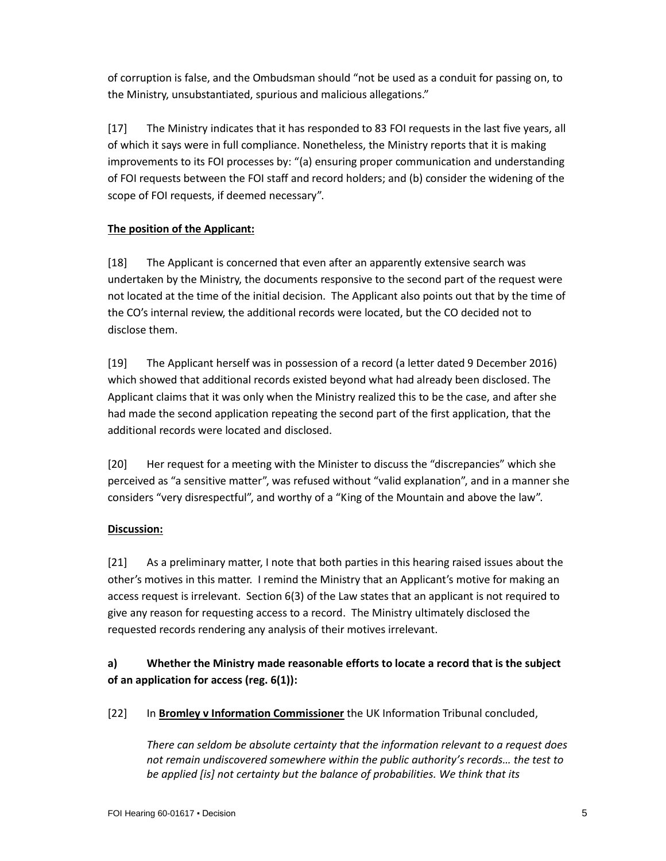of corruption is false, and the Ombudsman should "not be used as a conduit for passing on, to the Ministry, unsubstantiated, spurious and malicious allegations."

[17] The Ministry indicates that it has responded to 83 FOI requests in the last five years, all of which it says were in full compliance. Nonetheless, the Ministry reports that it is making improvements to its FOI processes by: "(a) ensuring proper communication and understanding of FOI requests between the FOI staff and record holders; and (b) consider the widening of the scope of FOI requests, if deemed necessary".

# **The position of the Applicant:**

[18] The Applicant is concerned that even after an apparently extensive search was undertaken by the Ministry, the documents responsive to the second part of the request were not located at the time of the initial decision. The Applicant also points out that by the time of the CO's internal review, the additional records were located, but the CO decided not to disclose them.

[19] The Applicant herself was in possession of a record (a letter dated 9 December 2016) which showed that additional records existed beyond what had already been disclosed. The Applicant claims that it was only when the Ministry realized this to be the case, and after she had made the second application repeating the second part of the first application, that the additional records were located and disclosed.

[20] Her request for a meeting with the Minister to discuss the "discrepancies" which she perceived as "a sensitive matter", was refused without "valid explanation", and in a manner she considers "very disrespectful", and worthy of a "King of the Mountain and above the law".

### **Discussion:**

[21] As a preliminary matter, I note that both parties in this hearing raised issues about the other's motives in this matter. I remind the Ministry that an Applicant's motive for making an access request is irrelevant. Section 6(3) of the Law states that an applicant is not required to give any reason for requesting access to a record. The Ministry ultimately disclosed the requested records rendering any analysis of their motives irrelevant.

# **a) Whether the Ministry made reasonable efforts to locate a record that is the subject of an application for access (reg. 6(1)):**

[22] In **Bromley v Information Commissioner** the UK Information Tribunal concluded,

*There can seldom be absolute certainty that the information relevant to a request does not remain undiscovered somewhere within the public authority's records… the test to be applied [is] not certainty but the balance of probabilities. We think that its*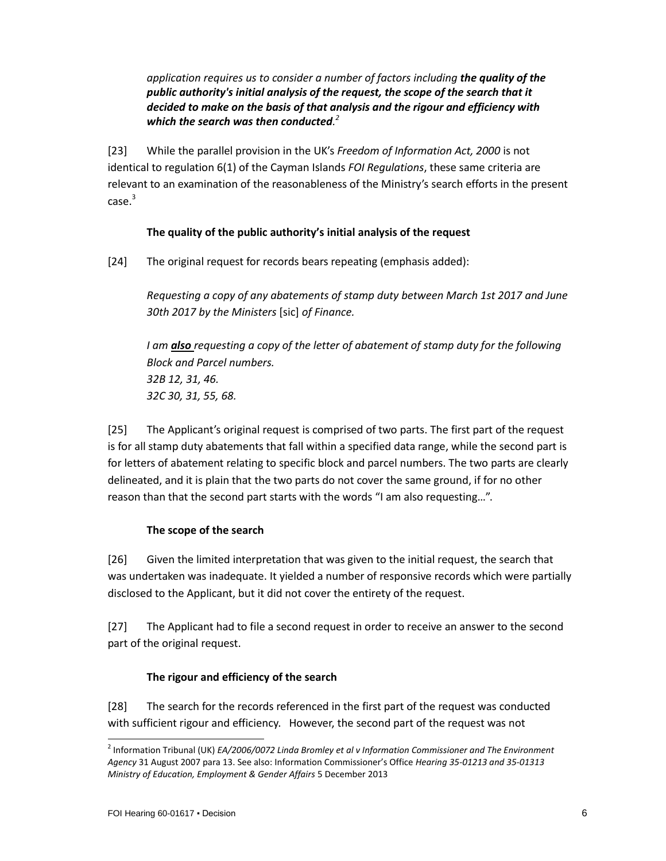## *application requires us to consider a number of factors including the quality of the public authority's initial analysis of the request, the scope of the search that it decided to make on the basis of that analysis and the rigour and efficiency with which the search was then conducted. 2*

[23] While the parallel provision in the UK's *Freedom of Information Act, 2000* is not identical to regulation 6(1) of the Cayman Islands *FOI Regulations*, these same criteria are relevant to an examination of the reasonableness of the Ministry's search efforts in the present case.<sup>3</sup>

### **The quality of the public authority's initial analysis of the request**

[24] The original request for records bears repeating (emphasis added):

*Requesting a copy of any abatements of stamp duty between March 1st 2017 and June 30th 2017 by the Ministers* [sic] *of Finance.*

*I am also requesting a copy of the letter of abatement of stamp duty for the following Block and Parcel numbers. 32B 12, 31, 46. 32C 30, 31, 55, 68.*

[25] The Applicant's original request is comprised of two parts. The first part of the request is for all stamp duty abatements that fall within a specified data range, while the second part is for letters of abatement relating to specific block and parcel numbers. The two parts are clearly delineated, and it is plain that the two parts do not cover the same ground, if for no other reason than that the second part starts with the words "I am also requesting…".

#### **The scope of the search**

[26] Given the limited interpretation that was given to the initial request, the search that was undertaken was inadequate. It yielded a number of responsive records which were partially disclosed to the Applicant, but it did not cover the entirety of the request.

[27] The Applicant had to file a second request in order to receive an answer to the second part of the original request.

### **The rigour and efficiency of the search**

[28] The search for the records referenced in the first part of the request was conducted with sufficient rigour and efficiency. However, the second part of the request was not

l

<sup>2</sup> Information Tribunal (UK) *EA/2006/0072 Linda Bromley et al v Information Commissioner and The Environment Agency* 31 August 2007 para 13. See also: Information Commissioner's Office *Hearing 35-01213 and 35-01313 Ministry of Education, Employment & Gender Affairs* 5 December 2013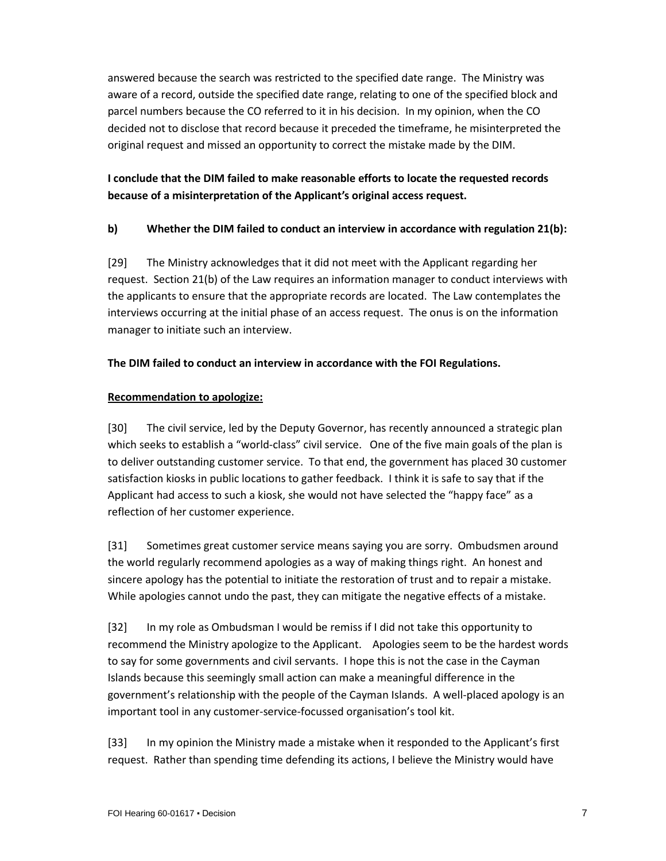answered because the search was restricted to the specified date range. The Ministry was aware of a record, outside the specified date range, relating to one of the specified block and parcel numbers because the CO referred to it in his decision. In my opinion, when the CO decided not to disclose that record because it preceded the timeframe, he misinterpreted the original request and missed an opportunity to correct the mistake made by the DIM.

# **I conclude that the DIM failed to make reasonable efforts to locate the requested records because of a misinterpretation of the Applicant's original access request.**

# **b) Whether the DIM failed to conduct an interview in accordance with regulation 21(b):**

[29] The Ministry acknowledges that it did not meet with the Applicant regarding her request. Section 21(b) of the Law requires an information manager to conduct interviews with the applicants to ensure that the appropriate records are located. The Law contemplates the interviews occurring at the initial phase of an access request. The onus is on the information manager to initiate such an interview.

### **The DIM failed to conduct an interview in accordance with the FOI Regulations.**

### **Recommendation to apologize:**

[30] The civil service, led by the Deputy Governor, has recently announced a strategic plan which seeks to establish a "world-class" civil service. One of the five main goals of the plan is to deliver outstanding customer service. To that end, the government has placed 30 customer satisfaction kiosks in public locations to gather feedback. I think it is safe to say that if the Applicant had access to such a kiosk, she would not have selected the "happy face" as a reflection of her customer experience.

[31] Sometimes great customer service means saying you are sorry. Ombudsmen around the world regularly recommend apologies as a way of making things right. An honest and sincere apology has the potential to initiate the restoration of trust and to repair a mistake. While apologies cannot undo the past, they can mitigate the negative effects of a mistake.

[32] In my role as Ombudsman I would be remiss if I did not take this opportunity to recommend the Ministry apologize to the Applicant. Apologies seem to be the hardest words to say for some governments and civil servants. I hope this is not the case in the Cayman Islands because this seemingly small action can make a meaningful difference in the government's relationship with the people of the Cayman Islands. A well-placed apology is an important tool in any customer-service-focussed organisation's tool kit.

[33] In my opinion the Ministry made a mistake when it responded to the Applicant's first request. Rather than spending time defending its actions, I believe the Ministry would have